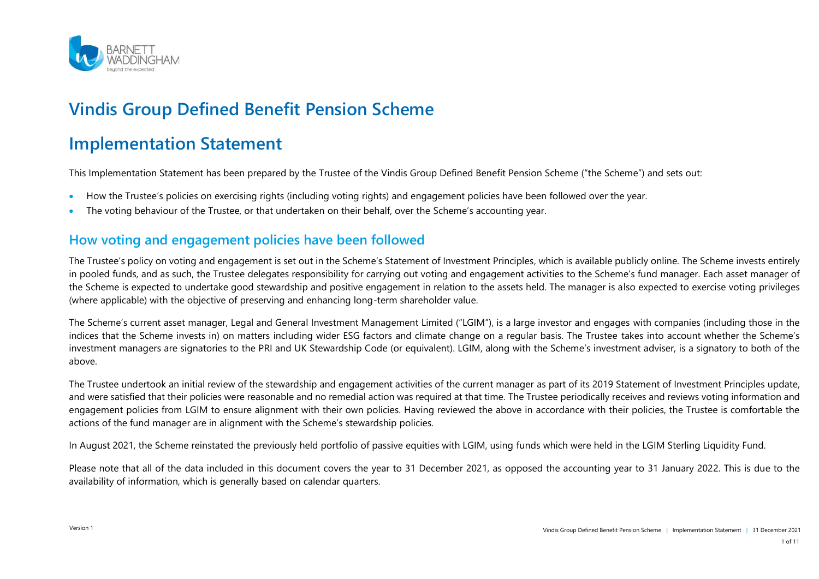

# **Vindis Group Defined Benefit Pension Scheme**

# **Implementation Statement**

This Implementation Statement has been prepared by the Trustee of the Vindis Group Defined Benefit Pension Scheme ("the Scheme") and sets out:

- How the Trustee's policies on exercising rights (including voting rights) and engagement policies have been followed over the year.
- The voting behaviour of the Trustee, or that undertaken on their behalf, over the Scheme's accounting year.

### **How voting and engagement policies have been followed**

The Trustee's policy on voting and engagement is set out in the Scheme's Statement of Investment Principles, which is available publicly online. The Scheme invests entirely in pooled funds, and as such, the Trustee delegates responsibility for carrying out voting and engagement activities to the Scheme's fund manager. Each asset manager of the Scheme is expected to undertake good stewardship and positive engagement in relation to the assets held. The manager is also expected to exercise voting privileges (where applicable) with the objective of preserving and enhancing long-term shareholder value.

The Scheme's current asset manager, Legal and General Investment Management Limited ("LGIM"), is a large investor and engages with companies (including those in the indices that the Scheme invests in) on matters including wider ESG factors and climate change on a regular basis. The Trustee takes into account whether the Scheme's investment managers are signatories to the PRI and UK Stewardship Code (or equivalent). LGIM, along with the Scheme's investment adviser, is a signatory to both of the above.

The Trustee undertook an initial review of the stewardship and engagement activities of the current manager as part of its 2019 Statement of Investment Principles update, and were satisfied that their policies were reasonable and no remedial action was required at that time. The Trustee periodically receives and reviews voting information and engagement policies from LGIM to ensure alignment with their own policies. Having reviewed the above in accordance with their policies, the Trustee is comfortable the actions of the fund manager are in alignment with the Scheme's stewardship policies.

In August 2021, the Scheme reinstated the previously held portfolio of passive equities with LGIM, using funds which were held in the LGIM Sterling Liquidity Fund.

Please note that all of the data included in this document covers the year to 31 December 2021, as opposed the accounting year to 31 January 2022. This is due to the availability of information, which is generally based on calendar quarters.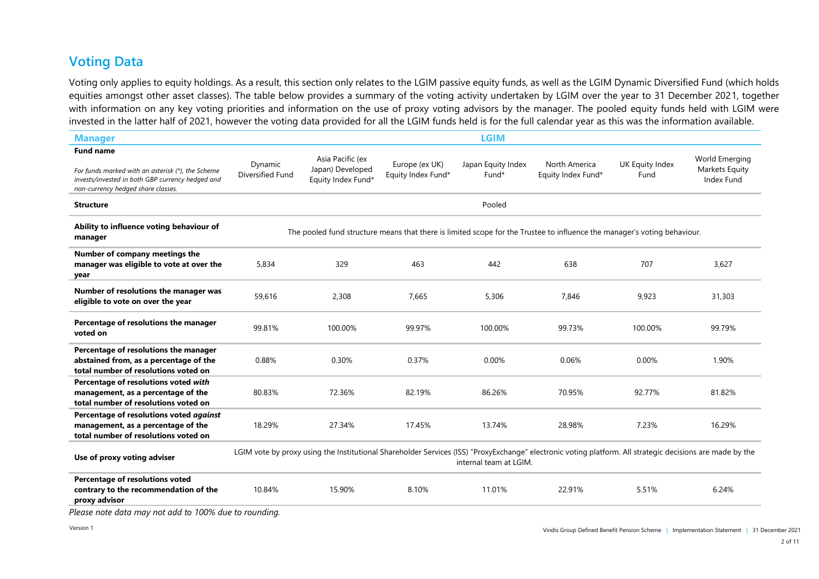### **Voting Data**

Voting only applies to equity holdings. As a result, this section only relates to the LGIM passive equity funds, as well as the LGIM Dynamic Diversified Fund (which holds equities amongst other asset classes). The table below provides a summary of the voting activity undertaken by LGIM over the year to 31 December 2021, together with information on any key voting priorities and information on the use of proxy voting advisors by the manager. The pooled equity funds held with LGIM were invested in the latter half of 2021, however the voting data provided for all the LGIM funds held is for the full calendar year as this was the information available.

| <b>Manager</b>                                                                                                                                                  |                                                                                                                                                                                     |                                                            |                                      | <b>LGIM</b>                 |                                                                                                                          |                         |                                                |
|-----------------------------------------------------------------------------------------------------------------------------------------------------------------|-------------------------------------------------------------------------------------------------------------------------------------------------------------------------------------|------------------------------------------------------------|--------------------------------------|-----------------------------|--------------------------------------------------------------------------------------------------------------------------|-------------------------|------------------------------------------------|
| <b>Fund name</b><br>For funds marked with an asterisk (*), the Scheme<br>invests/invested in both GBP currency hedged and<br>non-currency hedged share classes. | Dynamic<br>Diversified Fund                                                                                                                                                         | Asia Pacific (ex<br>Japan) Developed<br>Equity Index Fund* | Europe (ex UK)<br>Equity Index Fund* | Japan Equity Index<br>Fund* | North America<br>Equity Index Fund*                                                                                      | UK Equity Index<br>Fund | World Emerging<br>Markets Equity<br>Index Fund |
| <b>Structure</b>                                                                                                                                                |                                                                                                                                                                                     |                                                            |                                      | Pooled                      |                                                                                                                          |                         |                                                |
| Ability to influence voting behaviour of<br>manager                                                                                                             |                                                                                                                                                                                     |                                                            |                                      |                             | The pooled fund structure means that there is limited scope for the Trustee to influence the manager's voting behaviour. |                         |                                                |
| Number of company meetings the<br>manager was eligible to vote at over the<br>year                                                                              | 5,834                                                                                                                                                                               | 329                                                        | 463                                  | 442                         | 638                                                                                                                      | 707                     | 3.627                                          |
| Number of resolutions the manager was<br>eligible to vote on over the year                                                                                      | 59,616                                                                                                                                                                              | 2,308                                                      | 7,665                                | 5,306                       | 7,846                                                                                                                    | 9,923                   | 31,303                                         |
| Percentage of resolutions the manager<br>voted on                                                                                                               | 99.81%                                                                                                                                                                              | 100.00%                                                    | 99.97%                               | 100.00%                     | 99.73%                                                                                                                   | 100.00%                 | 99.79%                                         |
| Percentage of resolutions the manager<br>abstained from, as a percentage of the<br>total number of resolutions voted on                                         | 0.88%                                                                                                                                                                               | 0.30%                                                      | 0.37%                                | 0.00%                       | 0.06%                                                                                                                    | 0.00%                   | 1.90%                                          |
| Percentage of resolutions voted with<br>management, as a percentage of the<br>total number of resolutions voted on                                              | 80.83%                                                                                                                                                                              | 72.36%                                                     | 82.19%                               | 86.26%                      | 70.95%                                                                                                                   | 92.77%                  | 81.82%                                         |
| Percentage of resolutions voted against<br>management, as a percentage of the<br>total number of resolutions voted on                                           | 18.29%                                                                                                                                                                              | 27.34%                                                     | 17.45%                               | 13.74%                      | 28.98%                                                                                                                   | 7.23%                   | 16.29%                                         |
| Use of proxy voting adviser                                                                                                                                     | LGIM vote by proxy using the Institutional Shareholder Services (ISS) "ProxyExchange" electronic voting platform. All strategic decisions are made by the<br>internal team at LGIM. |                                                            |                                      |                             |                                                                                                                          |                         |                                                |
| Percentage of resolutions voted<br>contrary to the recommendation of the<br>proxy advisor<br>places note data may not add to 100% due to rounding               | 10.84%                                                                                                                                                                              | 15.90%                                                     | 8.10%                                | 11.01%                      | 22.91%                                                                                                                   | 5.51%                   | 6.24%                                          |

*Please note data may not add to 100% due to rounding.*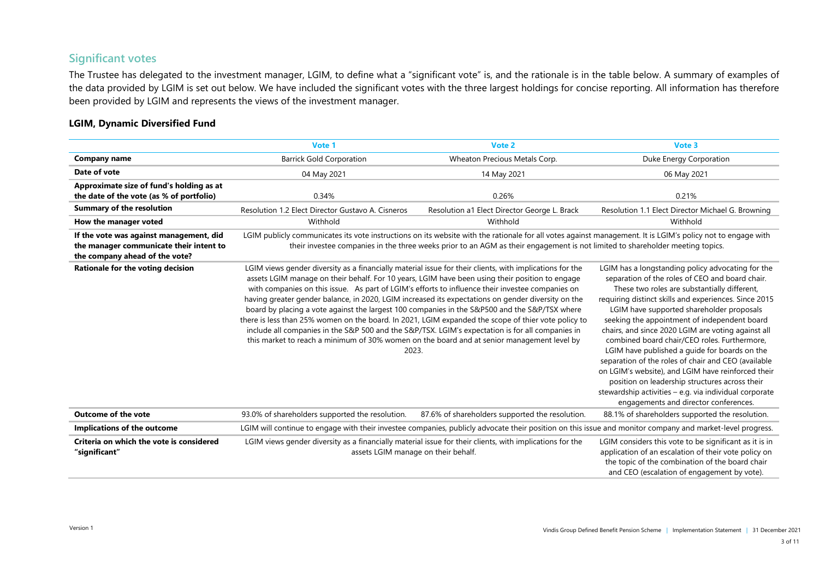#### **Significant votes**

The Trustee has delegated to the investment manager, LGIM, to define what a "significant vote" is, and the rationale is in the table below. A summary of examples of the data provided by LGIM is set out below. We have included the significant votes with the three largest holdings for concise reporting. All information has therefore been provided by LGIM and represents the views of the investment manager.

#### **LGIM, Dynamic Diversified Fund**

|                                                                                                                      | Vote 1                                                                                                                                                                                                                                                                                                                                                                                                                                                                                                                                                                                                                                                                                                                                                                                                                                   | Vote 2                                                                                                                        | Vote 3                                                                                                                                                                                                                                                                                                                                                                                                                                                                                                                                                                                                                                                                                                                              |
|----------------------------------------------------------------------------------------------------------------------|------------------------------------------------------------------------------------------------------------------------------------------------------------------------------------------------------------------------------------------------------------------------------------------------------------------------------------------------------------------------------------------------------------------------------------------------------------------------------------------------------------------------------------------------------------------------------------------------------------------------------------------------------------------------------------------------------------------------------------------------------------------------------------------------------------------------------------------|-------------------------------------------------------------------------------------------------------------------------------|-------------------------------------------------------------------------------------------------------------------------------------------------------------------------------------------------------------------------------------------------------------------------------------------------------------------------------------------------------------------------------------------------------------------------------------------------------------------------------------------------------------------------------------------------------------------------------------------------------------------------------------------------------------------------------------------------------------------------------------|
| <b>Company name</b>                                                                                                  | <b>Barrick Gold Corporation</b>                                                                                                                                                                                                                                                                                                                                                                                                                                                                                                                                                                                                                                                                                                                                                                                                          | Wheaton Precious Metals Corp.                                                                                                 | Duke Energy Corporation                                                                                                                                                                                                                                                                                                                                                                                                                                                                                                                                                                                                                                                                                                             |
| Date of vote                                                                                                         | 04 May 2021                                                                                                                                                                                                                                                                                                                                                                                                                                                                                                                                                                                                                                                                                                                                                                                                                              | 14 May 2021                                                                                                                   | 06 May 2021                                                                                                                                                                                                                                                                                                                                                                                                                                                                                                                                                                                                                                                                                                                         |
| Approximate size of fund's holding as at<br>the date of the vote (as % of portfolio)                                 | 0.34%                                                                                                                                                                                                                                                                                                                                                                                                                                                                                                                                                                                                                                                                                                                                                                                                                                    | 0.26%                                                                                                                         | 0.21%                                                                                                                                                                                                                                                                                                                                                                                                                                                                                                                                                                                                                                                                                                                               |
| <b>Summary of the resolution</b>                                                                                     | Resolution 1.2 Elect Director Gustavo A. Cisneros                                                                                                                                                                                                                                                                                                                                                                                                                                                                                                                                                                                                                                                                                                                                                                                        | Resolution a1 Elect Director George L. Brack                                                                                  | Resolution 1.1 Elect Director Michael G. Browning                                                                                                                                                                                                                                                                                                                                                                                                                                                                                                                                                                                                                                                                                   |
| How the manager voted                                                                                                | Withhold                                                                                                                                                                                                                                                                                                                                                                                                                                                                                                                                                                                                                                                                                                                                                                                                                                 | Withhold                                                                                                                      | Withhold                                                                                                                                                                                                                                                                                                                                                                                                                                                                                                                                                                                                                                                                                                                            |
| If the vote was against management, did<br>the manager communicate their intent to<br>the company ahead of the vote? |                                                                                                                                                                                                                                                                                                                                                                                                                                                                                                                                                                                                                                                                                                                                                                                                                                          | their investee companies in the three weeks prior to an AGM as their engagement is not limited to shareholder meeting topics. | LGIM publicly communicates its vote instructions on its website with the rationale for all votes against management. It is LGIM's policy not to engage with                                                                                                                                                                                                                                                                                                                                                                                                                                                                                                                                                                         |
| Rationale for the voting decision                                                                                    | LGIM views gender diversity as a financially material issue for their clients, with implications for the<br>assets LGIM manage on their behalf. For 10 years, LGIM have been using their position to engage<br>with companies on this issue. As part of LGIM's efforts to influence their investee companies on<br>having greater gender balance, in 2020, LGIM increased its expectations on gender diversity on the<br>board by placing a vote against the largest 100 companies in the S&P500 and the S&P/TSX where<br>there is less than 25% women on the board. In 2021, LGIM expanded the scope of thier vote policy to<br>include all companies in the S&P 500 and the S&P/TSX. LGIM's expectation is for all companies in<br>this market to reach a minimum of 30% women on the board and at senior management level by<br>2023. |                                                                                                                               | LGIM has a longstanding policy advocating for the<br>separation of the roles of CEO and board chair.<br>These two roles are substantially different,<br>requiring distinct skills and experiences. Since 2015<br>LGIM have supported shareholder proposals<br>seeking the appointment of independent board<br>chairs, and since 2020 LGIM are voting against all<br>combined board chair/CEO roles. Furthermore,<br>LGIM have published a quide for boards on the<br>separation of the roles of chair and CEO (available<br>on LGIM's website), and LGIM have reinforced their<br>position on leadership structures across their<br>stewardship activities - e.g. via individual corporate<br>engagements and director conferences. |
| <b>Outcome of the vote</b>                                                                                           | 93.0% of shareholders supported the resolution.                                                                                                                                                                                                                                                                                                                                                                                                                                                                                                                                                                                                                                                                                                                                                                                          | 87.6% of shareholders supported the resolution.                                                                               | 88.1% of shareholders supported the resolution.                                                                                                                                                                                                                                                                                                                                                                                                                                                                                                                                                                                                                                                                                     |
| Implications of the outcome                                                                                          |                                                                                                                                                                                                                                                                                                                                                                                                                                                                                                                                                                                                                                                                                                                                                                                                                                          |                                                                                                                               | LGIM will continue to engage with their investee companies, publicly advocate their position on this issue and monitor company and market-level progress.                                                                                                                                                                                                                                                                                                                                                                                                                                                                                                                                                                           |
| Criteria on which the vote is considered<br>"significant"                                                            | LGIM views gender diversity as a financially material issue for their clients, with implications for the<br>assets LGIM manage on their behalf.                                                                                                                                                                                                                                                                                                                                                                                                                                                                                                                                                                                                                                                                                          |                                                                                                                               | LGIM considers this vote to be significant as it is in<br>application of an escalation of their vote policy on<br>the topic of the combination of the board chair<br>and CEO (escalation of engagement by vote).                                                                                                                                                                                                                                                                                                                                                                                                                                                                                                                    |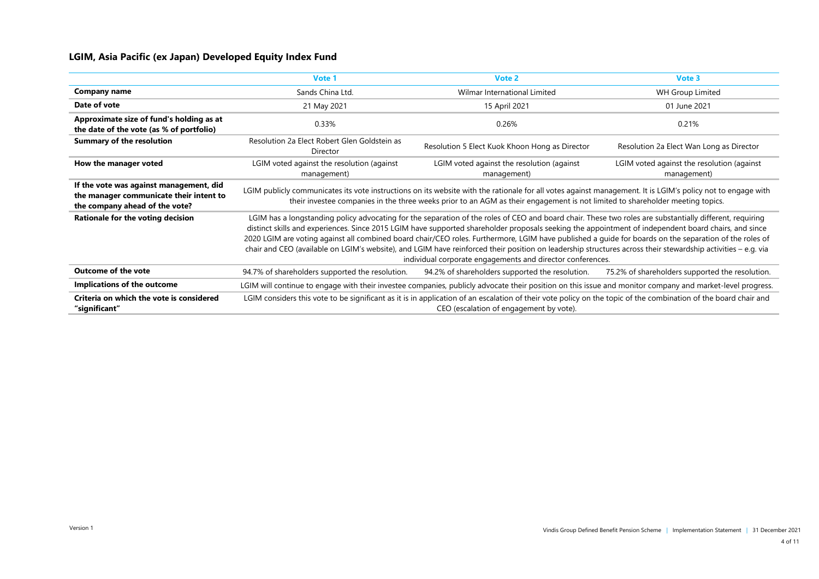#### **LGIM, Asia Pacific (ex Japan) Developed Equity Index Fund**

|                                                                                                                      | Vote 1                                                                                                                                                                                                                                                                                                                                                                                                                                                                                                                                                                                                                                                                                                   | Vote 2                                                                                                                                                                                                                                                                                       | Vote 3                                                    |
|----------------------------------------------------------------------------------------------------------------------|----------------------------------------------------------------------------------------------------------------------------------------------------------------------------------------------------------------------------------------------------------------------------------------------------------------------------------------------------------------------------------------------------------------------------------------------------------------------------------------------------------------------------------------------------------------------------------------------------------------------------------------------------------------------------------------------------------|----------------------------------------------------------------------------------------------------------------------------------------------------------------------------------------------------------------------------------------------------------------------------------------------|-----------------------------------------------------------|
| <b>Company name</b>                                                                                                  | Sands China Ltd.                                                                                                                                                                                                                                                                                                                                                                                                                                                                                                                                                                                                                                                                                         | Wilmar International Limited                                                                                                                                                                                                                                                                 | <b>WH Group Limited</b>                                   |
| Date of vote                                                                                                         | 21 May 2021                                                                                                                                                                                                                                                                                                                                                                                                                                                                                                                                                                                                                                                                                              | 15 April 2021                                                                                                                                                                                                                                                                                | 01 June 2021                                              |
| Approximate size of fund's holding as at<br>the date of the vote (as % of portfolio)                                 | 0.33%                                                                                                                                                                                                                                                                                                                                                                                                                                                                                                                                                                                                                                                                                                    | 0.26%                                                                                                                                                                                                                                                                                        | 0.21%                                                     |
| <b>Summary of the resolution</b>                                                                                     | Resolution 2a Elect Robert Glen Goldstein as<br>Director                                                                                                                                                                                                                                                                                                                                                                                                                                                                                                                                                                                                                                                 | Resolution 5 Elect Kuok Khoon Hong as Director                                                                                                                                                                                                                                               | Resolution 2a Elect Wan Long as Director                  |
| How the manager voted                                                                                                | LGIM voted against the resolution (against<br>management)                                                                                                                                                                                                                                                                                                                                                                                                                                                                                                                                                                                                                                                | LGIM voted against the resolution (against<br>management)                                                                                                                                                                                                                                    | LGIM voted against the resolution (against<br>management) |
| If the vote was against management, did<br>the manager communicate their intent to<br>the company ahead of the vote? |                                                                                                                                                                                                                                                                                                                                                                                                                                                                                                                                                                                                                                                                                                          | LGIM publicly communicates its vote instructions on its website with the rationale for all votes against management. It is LGIM's policy not to engage with<br>their investee companies in the three weeks prior to an AGM as their engagement is not limited to shareholder meeting topics. |                                                           |
| Rationale for the voting decision                                                                                    | LGIM has a longstanding policy advocating for the separation of the roles of CEO and board chair. These two roles are substantially different, requiring<br>distinct skills and experiences. Since 2015 LGIM have supported shareholder proposals seeking the appointment of independent board chairs, and since<br>2020 LGIM are voting against all combined board chair/CEO roles. Furthermore, LGIM have published a guide for boards on the separation of the roles of<br>chair and CEO (available on LGIM's website), and LGIM have reinforced their position on leadership structures across their stewardship activities - e.g. via<br>individual corporate engagements and director conferences. |                                                                                                                                                                                                                                                                                              |                                                           |
| <b>Outcome of the vote</b>                                                                                           | 94.7% of shareholders supported the resolution.                                                                                                                                                                                                                                                                                                                                                                                                                                                                                                                                                                                                                                                          | 94.2% of shareholders supported the resolution.                                                                                                                                                                                                                                              | 75.2% of shareholders supported the resolution.           |
| Implications of the outcome                                                                                          |                                                                                                                                                                                                                                                                                                                                                                                                                                                                                                                                                                                                                                                                                                          | LGIM will continue to engage with their investee companies, publicly advocate their position on this issue and monitor company and market-level progress.                                                                                                                                    |                                                           |
| Criteria on which the vote is considered<br>"significant"                                                            |                                                                                                                                                                                                                                                                                                                                                                                                                                                                                                                                                                                                                                                                                                          | LGIM considers this vote to be significant as it is in application of an escalation of their vote policy on the topic of the combination of the board chair and<br>CEO (escalation of engagement by vote).                                                                                   |                                                           |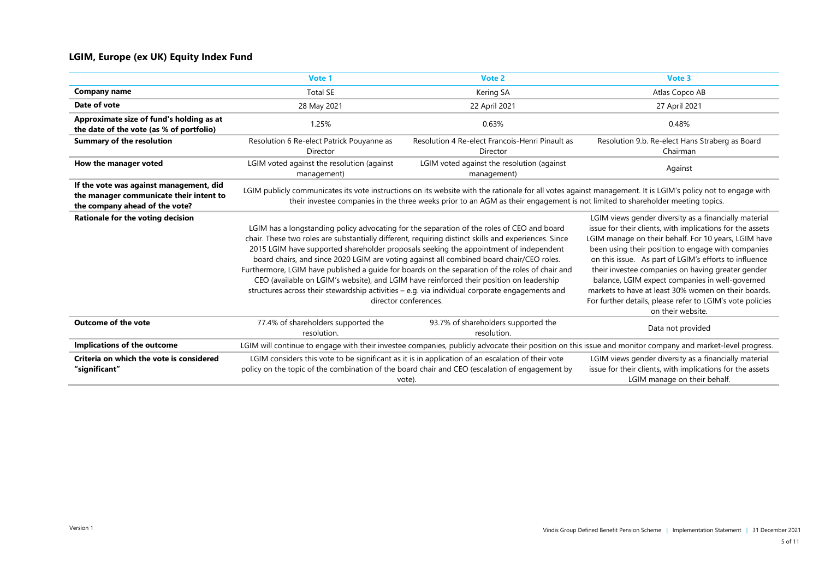#### **LGIM, Europe (ex UK) Equity Index Fund**

|                                                                                                                      | Vote 1                                                                                                                                                                                                                                                                                                                                                                                                                                                                                                                                                                                                                                                                                                            | Vote 2                                                                                                                        | Vote 3                                                                                                                                                                                                                                                                                                                                                                                                                                                                                                                                     |
|----------------------------------------------------------------------------------------------------------------------|-------------------------------------------------------------------------------------------------------------------------------------------------------------------------------------------------------------------------------------------------------------------------------------------------------------------------------------------------------------------------------------------------------------------------------------------------------------------------------------------------------------------------------------------------------------------------------------------------------------------------------------------------------------------------------------------------------------------|-------------------------------------------------------------------------------------------------------------------------------|--------------------------------------------------------------------------------------------------------------------------------------------------------------------------------------------------------------------------------------------------------------------------------------------------------------------------------------------------------------------------------------------------------------------------------------------------------------------------------------------------------------------------------------------|
| <b>Company name</b>                                                                                                  | <b>Total SE</b>                                                                                                                                                                                                                                                                                                                                                                                                                                                                                                                                                                                                                                                                                                   | Kering SA                                                                                                                     | Atlas Copco AB                                                                                                                                                                                                                                                                                                                                                                                                                                                                                                                             |
| Date of vote                                                                                                         | 28 May 2021                                                                                                                                                                                                                                                                                                                                                                                                                                                                                                                                                                                                                                                                                                       | 22 April 2021                                                                                                                 | 27 April 2021                                                                                                                                                                                                                                                                                                                                                                                                                                                                                                                              |
| Approximate size of fund's holding as at<br>the date of the vote (as % of portfolio)                                 | 1.25%                                                                                                                                                                                                                                                                                                                                                                                                                                                                                                                                                                                                                                                                                                             | 0.63%                                                                                                                         | 0.48%                                                                                                                                                                                                                                                                                                                                                                                                                                                                                                                                      |
| <b>Summary of the resolution</b>                                                                                     | Resolution 6 Re-elect Patrick Pouyanne as<br>Director                                                                                                                                                                                                                                                                                                                                                                                                                                                                                                                                                                                                                                                             | Resolution 4 Re-elect Francois-Henri Pinault as<br>Director                                                                   | Resolution 9.b. Re-elect Hans Straberg as Board<br>Chairman                                                                                                                                                                                                                                                                                                                                                                                                                                                                                |
| How the manager voted                                                                                                | LGIM voted against the resolution (against<br>management)                                                                                                                                                                                                                                                                                                                                                                                                                                                                                                                                                                                                                                                         | LGIM voted against the resolution (against<br>management)                                                                     | Against                                                                                                                                                                                                                                                                                                                                                                                                                                                                                                                                    |
| If the vote was against management, did<br>the manager communicate their intent to<br>the company ahead of the vote? |                                                                                                                                                                                                                                                                                                                                                                                                                                                                                                                                                                                                                                                                                                                   | their investee companies in the three weeks prior to an AGM as their engagement is not limited to shareholder meeting topics. | LGIM publicly communicates its vote instructions on its website with the rationale for all votes against management. It is LGIM's policy not to engage with                                                                                                                                                                                                                                                                                                                                                                                |
| Rationale for the voting decision                                                                                    | LGIM has a longstanding policy advocating for the separation of the roles of CEO and board<br>chair. These two roles are substantially different, requiring distinct skills and experiences. Since<br>2015 LGIM have supported shareholder proposals seeking the appointment of independent<br>board chairs, and since 2020 LGIM are voting against all combined board chair/CEO roles.<br>Furthermore, LGIM have published a guide for boards on the separation of the roles of chair and<br>CEO (available on LGIM's website), and LGIM have reinforced their position on leadership<br>structures across their stewardship activities - e.g. via individual corporate engagements and<br>director conferences. |                                                                                                                               | LGIM views gender diversity as a financially material<br>issue for their clients, with implications for the assets<br>LGIM manage on their behalf. For 10 years, LGIM have<br>been using their position to engage with companies<br>on this issue. As part of LGIM's efforts to influence<br>their investee companies on having greater gender<br>balance, LGIM expect companies in well-governed<br>markets to have at least 30% women on their boards.<br>For further details, please refer to LGIM's vote policies<br>on their website. |
| <b>Outcome of the vote</b>                                                                                           | 77.4% of shareholders supported the<br>resolution.                                                                                                                                                                                                                                                                                                                                                                                                                                                                                                                                                                                                                                                                | 93.7% of shareholders supported the<br>resolution.                                                                            | Data not provided                                                                                                                                                                                                                                                                                                                                                                                                                                                                                                                          |
| Implications of the outcome                                                                                          |                                                                                                                                                                                                                                                                                                                                                                                                                                                                                                                                                                                                                                                                                                                   |                                                                                                                               | LGIM will continue to engage with their investee companies, publicly advocate their position on this issue and monitor company and market-level progress.                                                                                                                                                                                                                                                                                                                                                                                  |
| Criteria on which the vote is considered<br>"significant"                                                            | LGIM considers this vote to be significant as it is in application of an escalation of their vote<br>policy on the topic of the combination of the board chair and CEO (escalation of engagement by<br>vote).                                                                                                                                                                                                                                                                                                                                                                                                                                                                                                     |                                                                                                                               | LGIM views gender diversity as a financially material<br>issue for their clients, with implications for the assets<br>LGIM manage on their behalf.                                                                                                                                                                                                                                                                                                                                                                                         |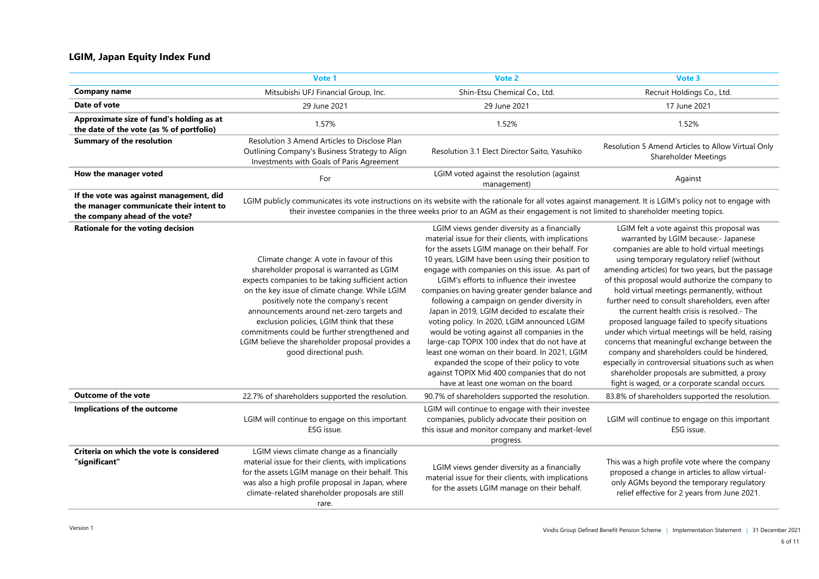#### **LGIM, Japan Equity Index Fund**

|                                                                                                                      | Vote 1                                                                                                                                                                                                                                                                                                                                                                                                                                                       | Vote 2                                                                                                                                                                                                                                                                                                                                                                                                                                                                                                                                                                                                                                                                                                                                                                                               | Vote 3                                                                                                                                                                                                                                                                                                                                                                                                                                                                                                                                                                                                                                                                                                                                                                                                    |
|----------------------------------------------------------------------------------------------------------------------|--------------------------------------------------------------------------------------------------------------------------------------------------------------------------------------------------------------------------------------------------------------------------------------------------------------------------------------------------------------------------------------------------------------------------------------------------------------|------------------------------------------------------------------------------------------------------------------------------------------------------------------------------------------------------------------------------------------------------------------------------------------------------------------------------------------------------------------------------------------------------------------------------------------------------------------------------------------------------------------------------------------------------------------------------------------------------------------------------------------------------------------------------------------------------------------------------------------------------------------------------------------------------|-----------------------------------------------------------------------------------------------------------------------------------------------------------------------------------------------------------------------------------------------------------------------------------------------------------------------------------------------------------------------------------------------------------------------------------------------------------------------------------------------------------------------------------------------------------------------------------------------------------------------------------------------------------------------------------------------------------------------------------------------------------------------------------------------------------|
| <b>Company name</b>                                                                                                  | Mitsubishi UFJ Financial Group, Inc.                                                                                                                                                                                                                                                                                                                                                                                                                         | Shin-Etsu Chemical Co., Ltd.                                                                                                                                                                                                                                                                                                                                                                                                                                                                                                                                                                                                                                                                                                                                                                         | Recruit Holdings Co., Ltd.                                                                                                                                                                                                                                                                                                                                                                                                                                                                                                                                                                                                                                                                                                                                                                                |
| Date of vote                                                                                                         | 29 June 2021<br>29 June 2021                                                                                                                                                                                                                                                                                                                                                                                                                                 |                                                                                                                                                                                                                                                                                                                                                                                                                                                                                                                                                                                                                                                                                                                                                                                                      | 17 June 2021                                                                                                                                                                                                                                                                                                                                                                                                                                                                                                                                                                                                                                                                                                                                                                                              |
| Approximate size of fund's holding as at<br>the date of the vote (as % of portfolio)                                 | 1.57%                                                                                                                                                                                                                                                                                                                                                                                                                                                        | 1.52%                                                                                                                                                                                                                                                                                                                                                                                                                                                                                                                                                                                                                                                                                                                                                                                                | 1.52%                                                                                                                                                                                                                                                                                                                                                                                                                                                                                                                                                                                                                                                                                                                                                                                                     |
| <b>Summary of the resolution</b>                                                                                     | Resolution 3 Amend Articles to Disclose Plan<br>Outlining Company's Business Strategy to Align<br>Investments with Goals of Paris Agreement                                                                                                                                                                                                                                                                                                                  | Resolution 3.1 Elect Director Saito, Yasuhiko                                                                                                                                                                                                                                                                                                                                                                                                                                                                                                                                                                                                                                                                                                                                                        | Resolution 5 Amend Articles to Allow Virtual Only<br>Shareholder Meetings                                                                                                                                                                                                                                                                                                                                                                                                                                                                                                                                                                                                                                                                                                                                 |
| How the manager voted                                                                                                | For                                                                                                                                                                                                                                                                                                                                                                                                                                                          | LGIM voted against the resolution (against<br>management)                                                                                                                                                                                                                                                                                                                                                                                                                                                                                                                                                                                                                                                                                                                                            | Against                                                                                                                                                                                                                                                                                                                                                                                                                                                                                                                                                                                                                                                                                                                                                                                                   |
| If the vote was against management, did<br>the manager communicate their intent to<br>the company ahead of the vote? |                                                                                                                                                                                                                                                                                                                                                                                                                                                              | LGIM publicly communicates its vote instructions on its website with the rationale for all votes against management. It is LGIM's policy not to engage with<br>their investee companies in the three weeks prior to an AGM as their engagement is not limited to shareholder meeting topics.                                                                                                                                                                                                                                                                                                                                                                                                                                                                                                         |                                                                                                                                                                                                                                                                                                                                                                                                                                                                                                                                                                                                                                                                                                                                                                                                           |
| Rationale for the voting decision                                                                                    | Climate change: A vote in favour of this<br>shareholder proposal is warranted as LGIM<br>expects companies to be taking sufficient action<br>on the key issue of climate change. While LGIM<br>positively note the company's recent<br>announcements around net-zero targets and<br>exclusion policies, LGIM think that these<br>commitments could be further strengthened and<br>LGIM believe the shareholder proposal provides a<br>good directional push. | LGIM views gender diversity as a financially<br>material issue for their clients, with implications<br>for the assets LGIM manage on their behalf. For<br>10 years, LGIM have been using their position to<br>engage with companies on this issue. As part of<br>LGIM's efforts to influence their investee<br>companies on having greater gender balance and<br>following a campaign on gender diversity in<br>Japan in 2019, LGIM decided to escalate their<br>voting policy. In 2020, LGIM announced LGIM<br>would be voting against all companies in the<br>large-cap TOPIX 100 index that do not have at<br>least one woman on their board. In 2021, LGIM<br>expanded the scope of their policy to vote<br>against TOPIX Mid 400 companies that do not<br>have at least one woman on the board. | LGIM felt a vote against this proposal was<br>warranted by LGIM because:- Japanese<br>companies are able to hold virtual meetings<br>using temporary regulatory relief (without<br>amending articles) for two years, but the passage<br>of this proposal would authorize the company to<br>hold virtual meetings permanently, without<br>further need to consult shareholders, even after<br>the current health crisis is resolved.- The<br>proposed language failed to specify situations<br>under which virtual meetings will be held, raising<br>concerns that meaningful exchange between the<br>company and shareholders could be hindered,<br>especially in controversial situations such as when<br>shareholder proposals are submitted, a proxy<br>fight is waged, or a corporate scandal occurs. |
| <b>Outcome of the vote</b>                                                                                           | 22.7% of shareholders supported the resolution.                                                                                                                                                                                                                                                                                                                                                                                                              | 90.7% of shareholders supported the resolution.                                                                                                                                                                                                                                                                                                                                                                                                                                                                                                                                                                                                                                                                                                                                                      | 83.8% of shareholders supported the resolution.                                                                                                                                                                                                                                                                                                                                                                                                                                                                                                                                                                                                                                                                                                                                                           |
| Implications of the outcome                                                                                          | LGIM will continue to engage on this important<br>ESG issue.                                                                                                                                                                                                                                                                                                                                                                                                 | LGIM will continue to engage with their investee<br>companies, publicly advocate their position on<br>this issue and monitor company and market-level<br>progress.                                                                                                                                                                                                                                                                                                                                                                                                                                                                                                                                                                                                                                   | LGIM will continue to engage on this important<br>ESG issue.                                                                                                                                                                                                                                                                                                                                                                                                                                                                                                                                                                                                                                                                                                                                              |
| Criteria on which the vote is considered<br>"significant"                                                            | LGIM views climate change as a financially<br>material issue for their clients, with implications<br>for the assets LGIM manage on their behalf. This<br>was also a high profile proposal in Japan, where<br>climate-related shareholder proposals are still<br>rare.                                                                                                                                                                                        | LGIM views gender diversity as a financially<br>material issue for their clients, with implications<br>for the assets LGIM manage on their behalf.                                                                                                                                                                                                                                                                                                                                                                                                                                                                                                                                                                                                                                                   | This was a high profile vote where the company<br>proposed a change in articles to allow virtual-<br>only AGMs beyond the temporary regulatory<br>relief effective for 2 years from June 2021.                                                                                                                                                                                                                                                                                                                                                                                                                                                                                                                                                                                                            |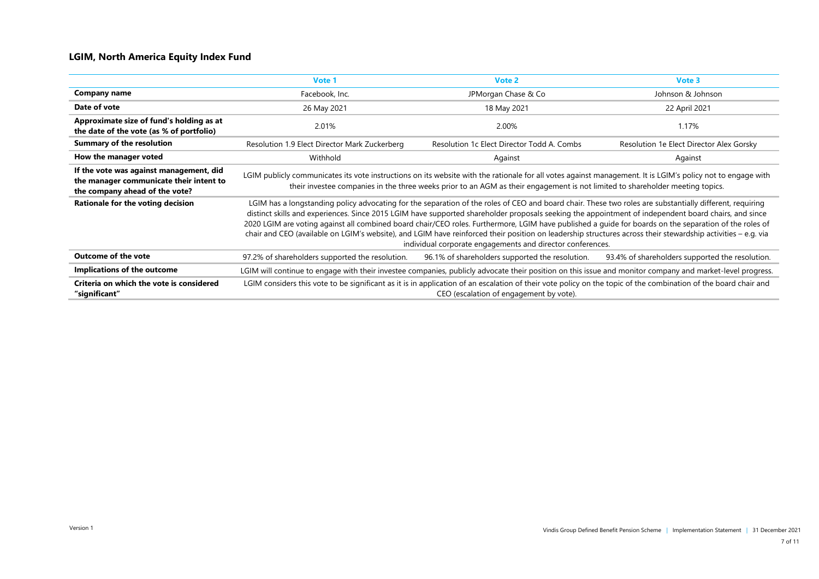#### **LGIM, North America Equity Index Fund**

|                                                                                                                      | Vote 1                                                                                                                                                                                                                                                                                                                                                                                                                                                                                                                                                                                                                                                                                                   | Vote 2                                                                                                                                                                                                                                                                                       | Vote 3                                          |
|----------------------------------------------------------------------------------------------------------------------|----------------------------------------------------------------------------------------------------------------------------------------------------------------------------------------------------------------------------------------------------------------------------------------------------------------------------------------------------------------------------------------------------------------------------------------------------------------------------------------------------------------------------------------------------------------------------------------------------------------------------------------------------------------------------------------------------------|----------------------------------------------------------------------------------------------------------------------------------------------------------------------------------------------------------------------------------------------------------------------------------------------|-------------------------------------------------|
| Company name                                                                                                         | Facebook, Inc.                                                                                                                                                                                                                                                                                                                                                                                                                                                                                                                                                                                                                                                                                           | JPMorgan Chase & Co                                                                                                                                                                                                                                                                          | Johnson & Johnson                               |
| Date of vote                                                                                                         | 26 May 2021                                                                                                                                                                                                                                                                                                                                                                                                                                                                                                                                                                                                                                                                                              | 18 May 2021                                                                                                                                                                                                                                                                                  | 22 April 2021                                   |
| Approximate size of fund's holding as at<br>the date of the vote (as % of portfolio)                                 | 2.01%                                                                                                                                                                                                                                                                                                                                                                                                                                                                                                                                                                                                                                                                                                    | 2.00%                                                                                                                                                                                                                                                                                        | 1.17%                                           |
| <b>Summary of the resolution</b>                                                                                     | Resolution 1.9 Elect Director Mark Zuckerberg                                                                                                                                                                                                                                                                                                                                                                                                                                                                                                                                                                                                                                                            | Resolution 1c Elect Director Todd A. Combs                                                                                                                                                                                                                                                   | Resolution 1e Elect Director Alex Gorsky        |
| How the manager voted                                                                                                | Withhold                                                                                                                                                                                                                                                                                                                                                                                                                                                                                                                                                                                                                                                                                                 | Against                                                                                                                                                                                                                                                                                      | Against                                         |
| If the vote was against management, did<br>the manager communicate their intent to<br>the company ahead of the vote? |                                                                                                                                                                                                                                                                                                                                                                                                                                                                                                                                                                                                                                                                                                          | LGIM publicly communicates its vote instructions on its website with the rationale for all votes against management. It is LGIM's policy not to engage with<br>their investee companies in the three weeks prior to an AGM as their engagement is not limited to shareholder meeting topics. |                                                 |
| Rationale for the voting decision                                                                                    | LGIM has a longstanding policy advocating for the separation of the roles of CEO and board chair. These two roles are substantially different, requiring<br>distinct skills and experiences. Since 2015 LGIM have supported shareholder proposals seeking the appointment of independent board chairs, and since<br>2020 LGIM are voting against all combined board chair/CEO roles. Furthermore, LGIM have published a guide for boards on the separation of the roles of<br>chair and CEO (available on LGIM's website), and LGIM have reinforced their position on leadership structures across their stewardship activities - e.g. via<br>individual corporate engagements and director conferences. |                                                                                                                                                                                                                                                                                              |                                                 |
| <b>Outcome of the vote</b>                                                                                           | 97.2% of shareholders supported the resolution.                                                                                                                                                                                                                                                                                                                                                                                                                                                                                                                                                                                                                                                          | 96.1% of shareholders supported the resolution.                                                                                                                                                                                                                                              | 93.4% of shareholders supported the resolution. |
| Implications of the outcome                                                                                          | LGIM will continue to engage with their investee companies, publicly advocate their position on this issue and monitor company and market-level progress.                                                                                                                                                                                                                                                                                                                                                                                                                                                                                                                                                |                                                                                                                                                                                                                                                                                              |                                                 |
| Criteria on which the vote is considered<br>"significant"                                                            |                                                                                                                                                                                                                                                                                                                                                                                                                                                                                                                                                                                                                                                                                                          | LGIM considers this vote to be significant as it is in application of an escalation of their vote policy on the topic of the combination of the board chair and<br>CEO (escalation of engagement by vote).                                                                                   |                                                 |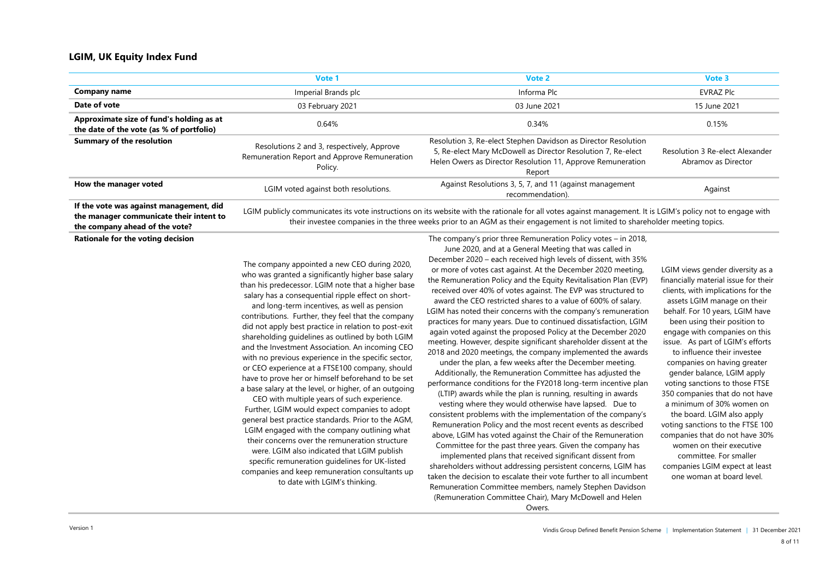#### **LGIM, UK Equity Index Fund**

|                                                                                      | Vote 1                                                                                                | Vote 2                                                                                                                                                                                                  | Vote 3                                                 |
|--------------------------------------------------------------------------------------|-------------------------------------------------------------------------------------------------------|---------------------------------------------------------------------------------------------------------------------------------------------------------------------------------------------------------|--------------------------------------------------------|
| Company name                                                                         | Imperial Brands plc                                                                                   | Informa Plc                                                                                                                                                                                             | <b>EVRAZ Plc</b>                                       |
| Date of vote                                                                         | 03 February 2021                                                                                      | 03 June 2021                                                                                                                                                                                            | 15 June 2021                                           |
| Approximate size of fund's holding as at<br>the date of the vote (as % of portfolio) | 0.64%                                                                                                 | 0.34%                                                                                                                                                                                                   | 0.15%                                                  |
| <b>Summary of the resolution</b>                                                     | Resolutions 2 and 3, respectively, Approve<br>Remuneration Report and Approve Remuneration<br>Policy. | Resolution 3, Re-elect Stephen Davidson as Director Resolution<br>5, Re-elect Mary McDowell as Director Resolution 7, Re-elect<br>Helen Owers as Director Resolution 11, Approve Remuneration<br>Report | Resolution 3 Re-elect Alexander<br>Abramov as Director |
| How the manager voted                                                                | LGIM voted against both resolutions.                                                                  | Against Resolutions 3, 5, 7, and 11 (against management<br>recommendation).                                                                                                                             | Against                                                |
| If the vote was against management, did                                              |                                                                                                       | LGIM publicly communicates its vote instructions on its website with the rationale for all votes against management. It is LGIM's policy not to engage with                                             |                                                        |

**the manager communicate their intent to the company ahead of the vote?**

**Rationale for the voting decision**

their investee companies in the three weeks prior to an AGM as their engagement is not limited to shareholder meeting topics. The company's prior three Remuneration Policy votes – in 2018,

The company appointed a new CEO during 2020, who was granted a significantly higher base salary than his predecessor. LGIM note that a higher base salary has a consequential ripple effect on short-

and long-term incentives, as well as pension contributions. Further, they feel that the company did not apply best practice in relation to post-exit shareholding guidelines as outlined by both LGIM and the Investment Association. An incoming CEO with no previous experience in the specific sector, or CEO experience at a FTSE100 company, should have to prove her or himself beforehand to be set a base salary at the level, or higher, of an outgoing

CEO with multiple years of such experience. Further, LGIM would expect companies to adopt general best practice standards. Prior to the AGM, LGIM engaged with the company outlining what their concerns over the remuneration structure were. LGIM also indicated that LGIM publish specific remuneration guidelines for UK-listed companies and keep remuneration consultants up to date with LGIM's thinking.

June 2020, and at a General Meeting that was called in December 2020 – each received high levels of dissent, with 35% or more of votes cast against. At the December 2020 meeting, the Remuneration Policy and the Equity Revitalisation Plan (EVP) received over 40% of votes against. The EVP was structured to award the CEO restricted shares to a value of 600% of salary. LGIM has noted their concerns with the company's remuneration practices for many years. Due to continued dissatisfaction, LGIM again voted against the proposed Policy at the December 2020 meeting. However, despite significant shareholder dissent at the 2018 and 2020 meetings, the company implemented the awards under the plan, a few weeks after the December meeting. Additionally, the Remuneration Committee has adjusted the performance conditions for the FY2018 long-term incentive plan (LTIP) awards while the plan is running, resulting in awards vesting where they would otherwise have lapsed. Due to consistent problems with the implementation of the company's Remuneration Policy and the most recent events as described

above, LGIM has voted against the Chair of the Remuneration Committee for the past three years. Given the company has implemented plans that received significant dissent from shareholders without addressing persistent concerns, LGIM has taken the decision to escalate their vote further to all incumbent Remuneration Committee members, namely Stephen Davidson (Remuneration Committee Chair), Mary McDowell and Helen Owers.

LGIM views gender diversity as a financially material issue for their clients, with implications for the assets LGIM manage on their behalf. For 10 years, LGIM have been using their position to engage with companies on this issue. As part of LGIM's efforts to influence their investee companies on having greater gender balance, LGIM apply voting sanctions to those FTSE 350 companies that do not have a minimum of 30% women on the board. LGIM also apply voting sanctions to the FTSE 100 companies that do not have 30% women on their executive committee. For smaller companies LGIM expect at least one woman at board level.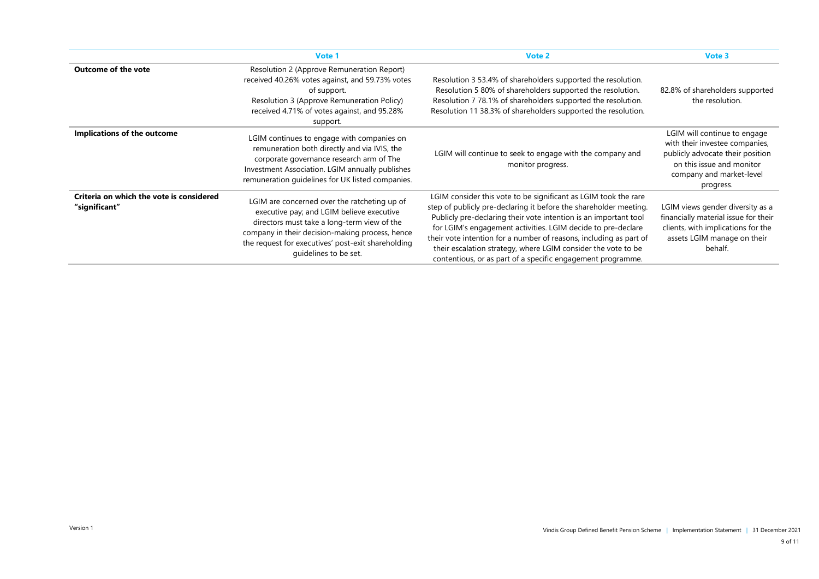|                                                           | Vote 1                                                                                                                                                                                                                                                                     | Vote 2                                                                                                                                                                                                                                                                                                                                                                                                                                                                         | Vote 3                                                                                                                                                                   |
|-----------------------------------------------------------|----------------------------------------------------------------------------------------------------------------------------------------------------------------------------------------------------------------------------------------------------------------------------|--------------------------------------------------------------------------------------------------------------------------------------------------------------------------------------------------------------------------------------------------------------------------------------------------------------------------------------------------------------------------------------------------------------------------------------------------------------------------------|--------------------------------------------------------------------------------------------------------------------------------------------------------------------------|
| <b>Outcome of the vote</b>                                | Resolution 2 (Approve Remuneration Report)<br>received 40.26% votes against, and 59.73% votes<br>of support.<br>Resolution 3 (Approve Remuneration Policy)<br>received 4.71% of votes against, and 95.28%<br>support.                                                      | Resolution 3 53.4% of shareholders supported the resolution.<br>Resolution 5 80% of shareholders supported the resolution.<br>Resolution 7 78.1% of shareholders supported the resolution.<br>Resolution 11 38.3% of shareholders supported the resolution.                                                                                                                                                                                                                    | 82.8% of shareholders supported<br>the resolution.                                                                                                                       |
| Implications of the outcome                               | LGIM continues to engage with companies on<br>remuneration both directly and via IVIS, the<br>corporate governance research arm of The<br>Investment Association. LGIM annually publishes<br>remuneration quidelines for UK listed companies.                              | LGIM will continue to seek to engage with the company and<br>monitor progress.                                                                                                                                                                                                                                                                                                                                                                                                 | LGIM will continue to engage<br>with their investee companies,<br>publicly advocate their position<br>on this issue and monitor<br>company and market-level<br>progress. |
| Criteria on which the vote is considered<br>"significant" | LGIM are concerned over the ratcheting up of<br>executive pay; and LGIM believe executive<br>directors must take a long-term view of the<br>company in their decision-making process, hence<br>the request for executives' post-exit shareholding<br>quidelines to be set. | LGIM consider this vote to be significant as LGIM took the rare<br>step of publicly pre-declaring it before the shareholder meeting.<br>Publicly pre-declaring their vote intention is an important tool<br>for LGIM's engagement activities. LGIM decide to pre-declare<br>their vote intention for a number of reasons, including as part of<br>their escalation strategy, where LGIM consider the vote to be<br>contentious, or as part of a specific engagement programme. | LGIM views gender diversity as a<br>financially material issue for their<br>clients, with implications for the<br>assets LGIM manage on their<br>behalf.                 |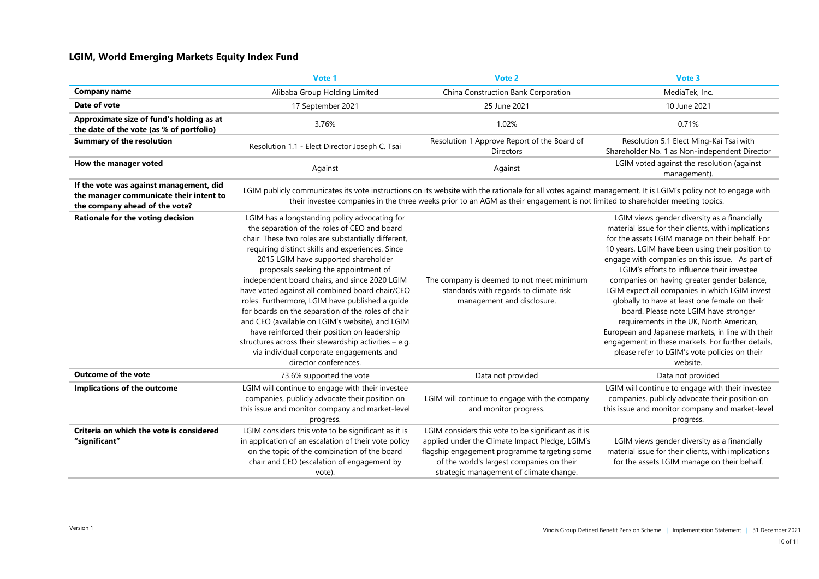#### **LGIM, World Emerging Markets Equity Index Fund**

|                                                                                                                      | Vote 1                                                                                                                                                                                                                                                                                                                                                                                                                                                                                                                                                                                                                                                                                                                                 | Vote 2                                                                                                                                                                                                                                                                                       | Vote 3                                                                                                                                                                                                                                                                                                                                                                                                                                                                                                                                                                                                                                                                                                                   |
|----------------------------------------------------------------------------------------------------------------------|----------------------------------------------------------------------------------------------------------------------------------------------------------------------------------------------------------------------------------------------------------------------------------------------------------------------------------------------------------------------------------------------------------------------------------------------------------------------------------------------------------------------------------------------------------------------------------------------------------------------------------------------------------------------------------------------------------------------------------------|----------------------------------------------------------------------------------------------------------------------------------------------------------------------------------------------------------------------------------------------------------------------------------------------|--------------------------------------------------------------------------------------------------------------------------------------------------------------------------------------------------------------------------------------------------------------------------------------------------------------------------------------------------------------------------------------------------------------------------------------------------------------------------------------------------------------------------------------------------------------------------------------------------------------------------------------------------------------------------------------------------------------------------|
| <b>Company name</b>                                                                                                  | Alibaba Group Holding Limited                                                                                                                                                                                                                                                                                                                                                                                                                                                                                                                                                                                                                                                                                                          | China Construction Bank Corporation                                                                                                                                                                                                                                                          | MediaTek, Inc.                                                                                                                                                                                                                                                                                                                                                                                                                                                                                                                                                                                                                                                                                                           |
| Date of vote                                                                                                         | 17 September 2021                                                                                                                                                                                                                                                                                                                                                                                                                                                                                                                                                                                                                                                                                                                      | 25 June 2021                                                                                                                                                                                                                                                                                 | 10 June 2021                                                                                                                                                                                                                                                                                                                                                                                                                                                                                                                                                                                                                                                                                                             |
| Approximate size of fund's holding as at<br>the date of the vote (as % of portfolio)                                 | 3.76%                                                                                                                                                                                                                                                                                                                                                                                                                                                                                                                                                                                                                                                                                                                                  | 1.02%                                                                                                                                                                                                                                                                                        | 0.71%                                                                                                                                                                                                                                                                                                                                                                                                                                                                                                                                                                                                                                                                                                                    |
| <b>Summary of the resolution</b>                                                                                     | Resolution 1.1 - Elect Director Joseph C. Tsai                                                                                                                                                                                                                                                                                                                                                                                                                                                                                                                                                                                                                                                                                         | Resolution 1 Approve Report of the Board of<br><b>Directors</b>                                                                                                                                                                                                                              | Resolution 5.1 Elect Ming-Kai Tsai with<br>Shareholder No. 1 as Non-independent Director                                                                                                                                                                                                                                                                                                                                                                                                                                                                                                                                                                                                                                 |
| How the manager voted                                                                                                | Against                                                                                                                                                                                                                                                                                                                                                                                                                                                                                                                                                                                                                                                                                                                                | Against                                                                                                                                                                                                                                                                                      | LGIM voted against the resolution (against<br>management).                                                                                                                                                                                                                                                                                                                                                                                                                                                                                                                                                                                                                                                               |
| If the vote was against management, did<br>the manager communicate their intent to<br>the company ahead of the vote? |                                                                                                                                                                                                                                                                                                                                                                                                                                                                                                                                                                                                                                                                                                                                        | LGIM publicly communicates its vote instructions on its website with the rationale for all votes against management. It is LGIM's policy not to engage with<br>their investee companies in the three weeks prior to an AGM as their engagement is not limited to shareholder meeting topics. |                                                                                                                                                                                                                                                                                                                                                                                                                                                                                                                                                                                                                                                                                                                          |
| Rationale for the voting decision                                                                                    | LGIM has a longstanding policy advocating for<br>the separation of the roles of CEO and board<br>chair. These two roles are substantially different,<br>requiring distinct skills and experiences. Since<br>2015 LGIM have supported shareholder<br>proposals seeking the appointment of<br>independent board chairs, and since 2020 LGIM<br>have voted against all combined board chair/CEO<br>roles. Furthermore, LGIM have published a guide<br>for boards on the separation of the roles of chair<br>and CEO (available on LGIM's website), and LGIM<br>have reinforced their position on leadership<br>structures across their stewardship activities - e.g.<br>via individual corporate engagements and<br>director conferences. | The company is deemed to not meet minimum<br>standards with regards to climate risk<br>management and disclosure.                                                                                                                                                                            | LGIM views gender diversity as a financially<br>material issue for their clients, with implications<br>for the assets LGIM manage on their behalf. For<br>10 years, LGIM have been using their position to<br>engage with companies on this issue. As part of<br>LGIM's efforts to influence their investee<br>companies on having greater gender balance,<br>LGIM expect all companies in which LGIM invest<br>globally to have at least one female on their<br>board. Please note LGIM have stronger<br>requirements in the UK, North American,<br>European and Japanese markets, in line with their<br>engagement in these markets. For further details,<br>please refer to LGIM's vote policies on their<br>website. |
| <b>Outcome of the vote</b>                                                                                           | 73.6% supported the vote                                                                                                                                                                                                                                                                                                                                                                                                                                                                                                                                                                                                                                                                                                               | Data not provided                                                                                                                                                                                                                                                                            | Data not provided                                                                                                                                                                                                                                                                                                                                                                                                                                                                                                                                                                                                                                                                                                        |
| Implications of the outcome                                                                                          | LGIM will continue to engage with their investee<br>companies, publicly advocate their position on<br>this issue and monitor company and market-level<br>progress.                                                                                                                                                                                                                                                                                                                                                                                                                                                                                                                                                                     | LGIM will continue to engage with the company<br>and monitor progress.                                                                                                                                                                                                                       | LGIM will continue to engage with their investee<br>companies, publicly advocate their position on<br>this issue and monitor company and market-level<br>progress.                                                                                                                                                                                                                                                                                                                                                                                                                                                                                                                                                       |
| Criteria on which the vote is considered<br>"significant"                                                            | LGIM considers this vote to be significant as it is<br>in application of an escalation of their vote policy<br>on the topic of the combination of the board<br>chair and CEO (escalation of engagement by<br>vote).                                                                                                                                                                                                                                                                                                                                                                                                                                                                                                                    | LGIM considers this vote to be significant as it is<br>applied under the Climate Impact Pledge, LGIM's<br>flagship engagement programme targeting some<br>of the world's largest companies on their<br>strategic management of climate change.                                               | LGIM views gender diversity as a financially<br>material issue for their clients, with implications<br>for the assets LGIM manage on their behalf.                                                                                                                                                                                                                                                                                                                                                                                                                                                                                                                                                                       |